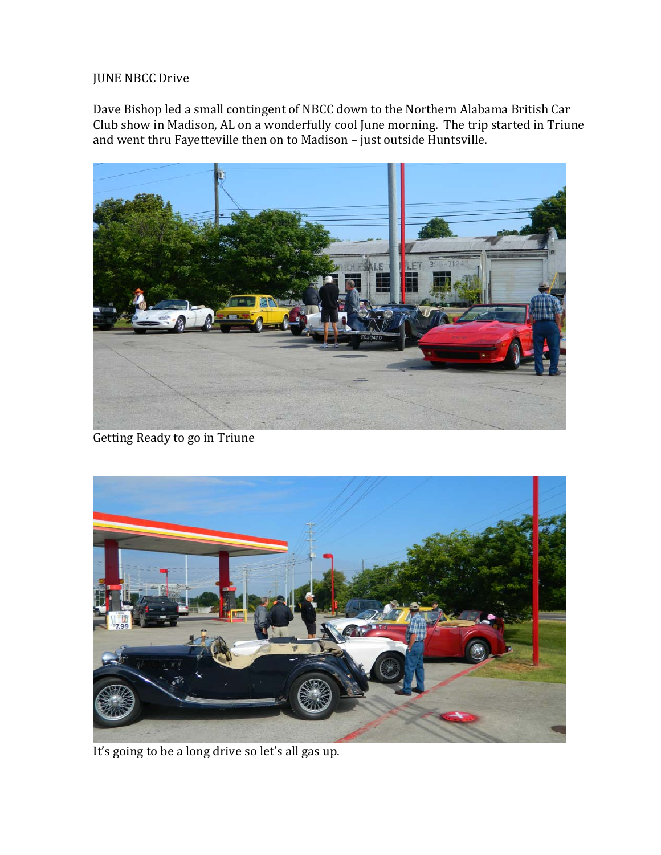## JUNE NBCC Drive

Dave Bishop led a small contingent of NBCC down to the Northern Alabama British Car Club show in Madison, AL on a wonderfully cool June morning. The trip started in Triune and went thru Fayetteville then on to Madison - just outside Huntsville.



Getting Ready to go in Triune



It's going to be a long drive so let's all gas up.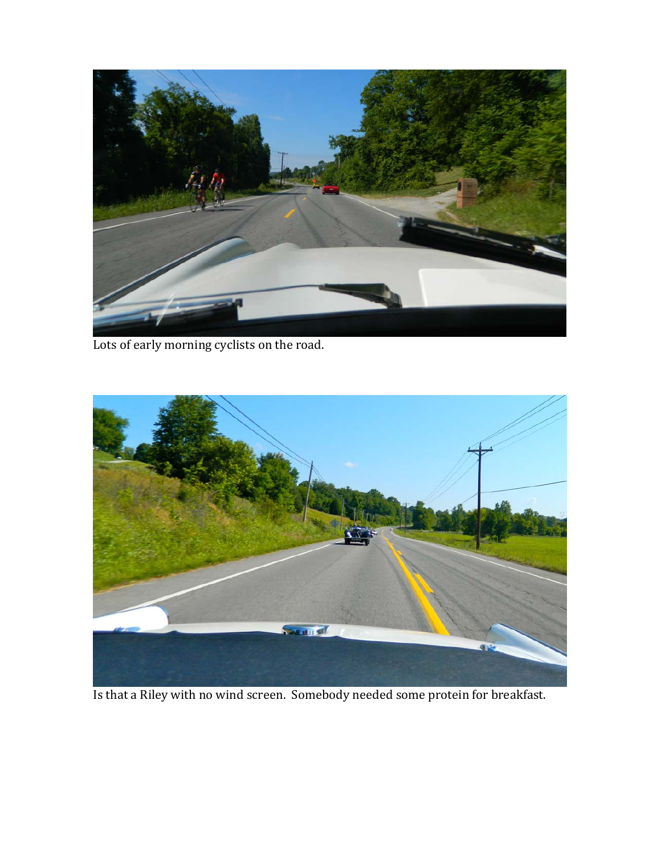

Lots of early morning cyclists on the road.



Is that a Riley with no wind screen. Somebody needed some protein for breakfast.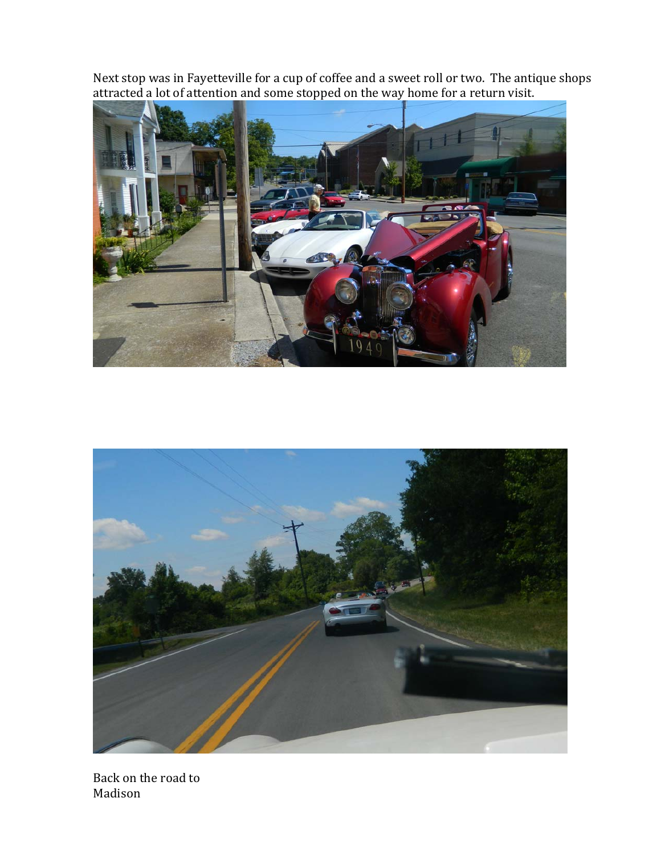Next stop was in Fayetteville for a cup of coffee and a sweet roll or two. The antique shops attracted a lot of attention and some stopped on the way home for a return visit.





Back on the road to Madison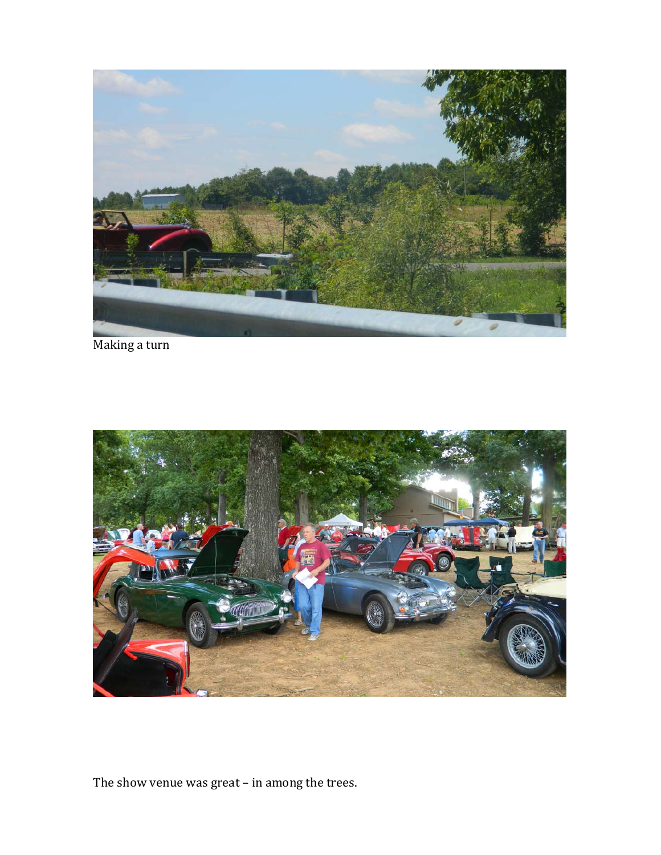

Making a turn



The show venue was great  $-$  in among the trees.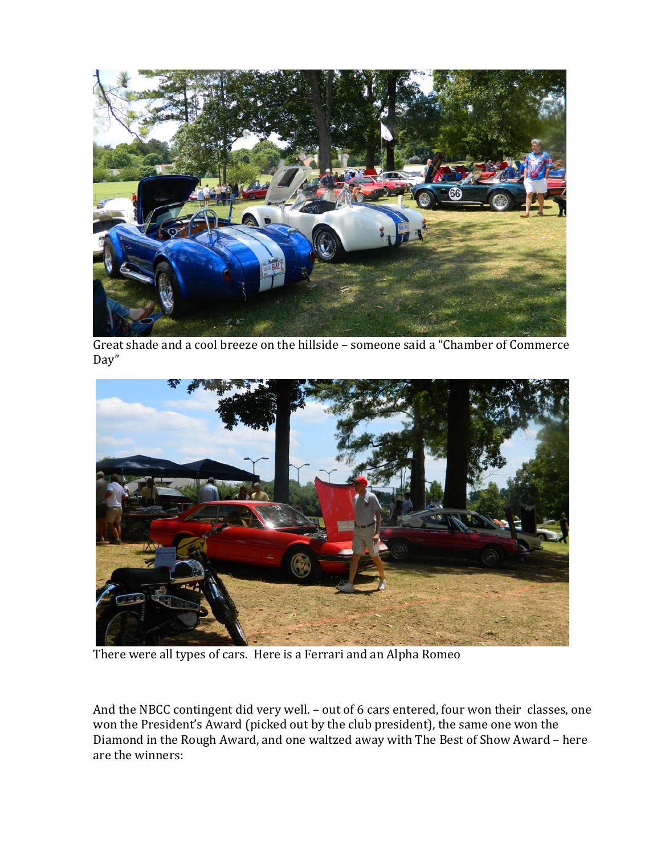

Great shade and a cool breeze on the hillside – someone said a "Chamber of Commerce Day" 



There were all types of cars. Here is a Ferrari and an Alpha Romeo

And the NBCC contingent did very well. - out of 6 cars entered, four won their classes, one won the President's Award (picked out by the club president), the same one won the Diamond in the Rough Award, and one waltzed away with The Best of Show Award – here are the winners: